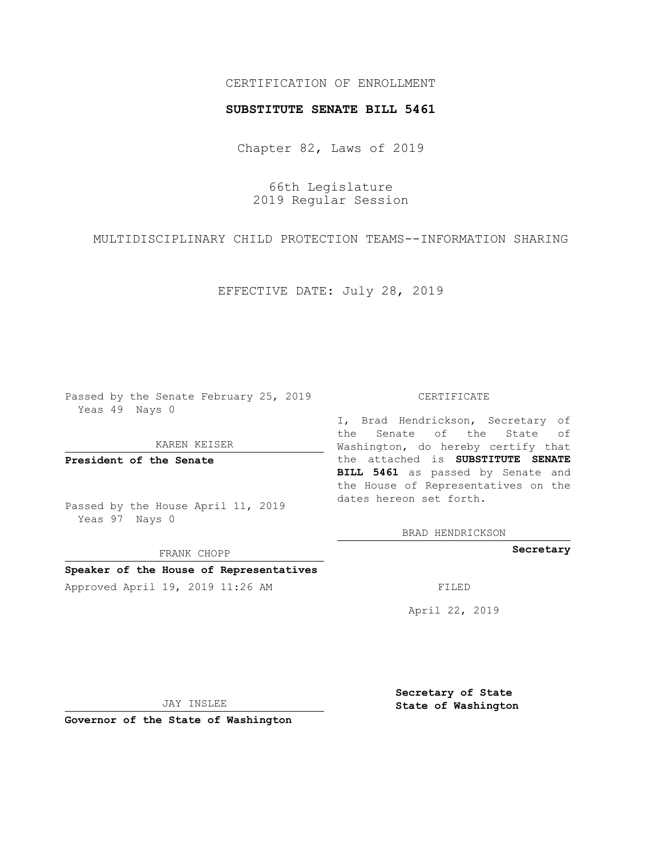### CERTIFICATION OF ENROLLMENT

#### **SUBSTITUTE SENATE BILL 5461**

Chapter 82, Laws of 2019

66th Legislature 2019 Regular Session

MULTIDISCIPLINARY CHILD PROTECTION TEAMS--INFORMATION SHARING

EFFECTIVE DATE: July 28, 2019

Passed by the Senate February 25, 2019 Yeas 49 Nays 0

KAREN KEISER

**President of the Senate**

Passed by the House April 11, 2019 Yeas 97 Nays 0

FRANK CHOPP

## **Speaker of the House of Representatives**

Approved April 19, 2019 11:26 AM FILED

#### CERTIFICATE

I, Brad Hendrickson, Secretary of the Senate of the State of Washington, do hereby certify that the attached is **SUBSTITUTE SENATE BILL 5461** as passed by Senate and the House of Representatives on the dates hereon set forth.

BRAD HENDRICKSON

**Secretary**

April 22, 2019

JAY INSLEE

**Governor of the State of Washington**

**Secretary of State State of Washington**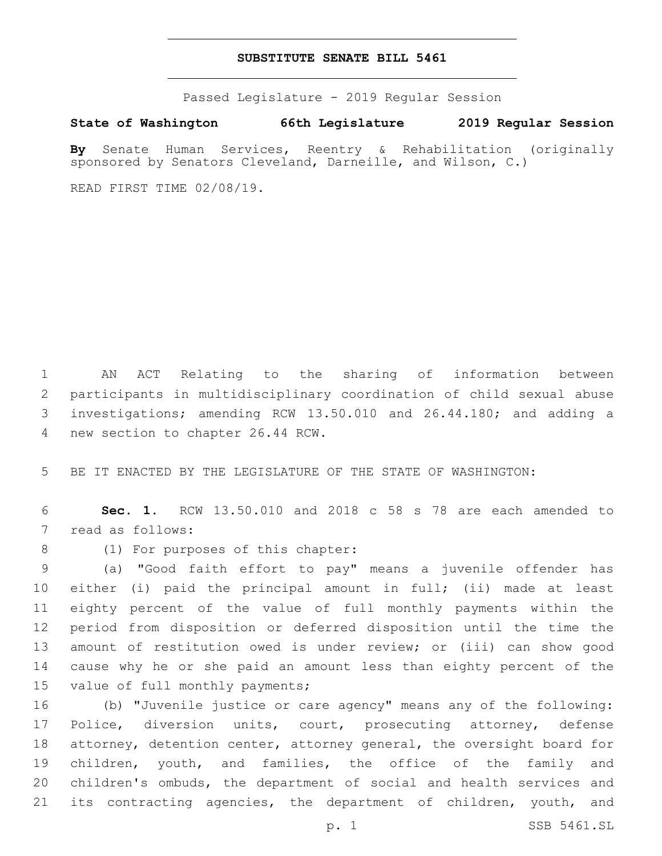#### **SUBSTITUTE SENATE BILL 5461**

Passed Legislature - 2019 Regular Session

## **State of Washington 66th Legislature 2019 Regular Session**

**By** Senate Human Services, Reentry & Rehabilitation (originally sponsored by Senators Cleveland, Darneille, and Wilson, C.)

READ FIRST TIME 02/08/19.

 AN ACT Relating to the sharing of information between participants in multidisciplinary coordination of child sexual abuse investigations; amending RCW 13.50.010 and 26.44.180; and adding a 4 new section to chapter 26.44 RCW.

5 BE IT ENACTED BY THE LEGISLATURE OF THE STATE OF WASHINGTON:

6 **Sec. 1.** RCW 13.50.010 and 2018 c 58 s 78 are each amended to 7 read as follows:

8 (1) For purposes of this chapter:

 (a) "Good faith effort to pay" means a juvenile offender has either (i) paid the principal amount in full; (ii) made at least eighty percent of the value of full monthly payments within the period from disposition or deferred disposition until the time the amount of restitution owed is under review; or (iii) can show good cause why he or she paid an amount less than eighty percent of the 15 value of full monthly payments;

 (b) "Juvenile justice or care agency" means any of the following: 17 Police, diversion units, court, prosecuting attorney, defense attorney, detention center, attorney general, the oversight board for children, youth, and families, the office of the family and children's ombuds, the department of social and health services and 21 its contracting agencies, the department of children, youth, and

p. 1 SSB 5461.SL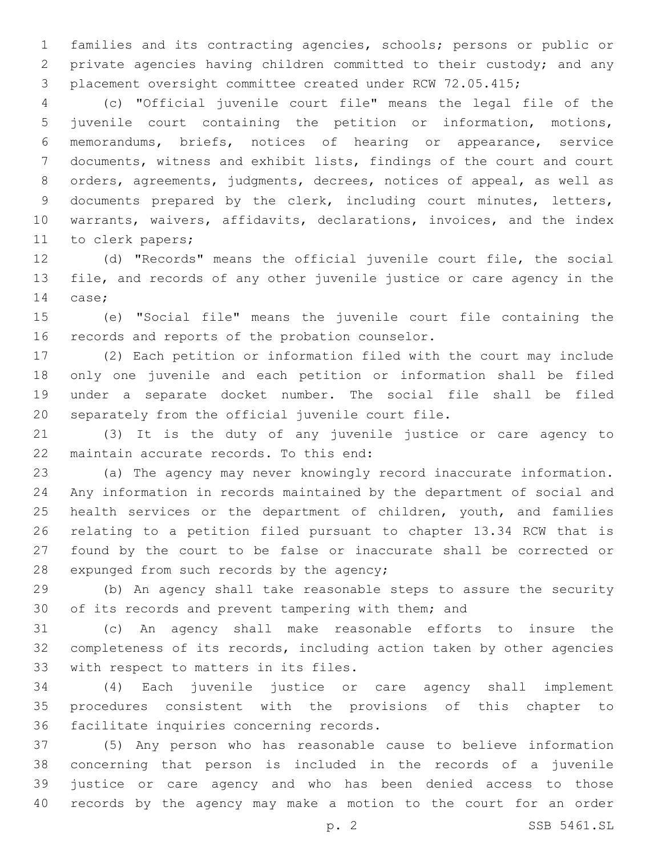families and its contracting agencies, schools; persons or public or private agencies having children committed to their custody; and any placement oversight committee created under RCW 72.05.415;

 (c) "Official juvenile court file" means the legal file of the juvenile court containing the petition or information, motions, memorandums, briefs, notices of hearing or appearance, service documents, witness and exhibit lists, findings of the court and court orders, agreements, judgments, decrees, notices of appeal, as well as documents prepared by the clerk, including court minutes, letters, warrants, waivers, affidavits, declarations, invoices, and the index 11 to clerk papers;

 (d) "Records" means the official juvenile court file, the social file, and records of any other juvenile justice or care agency in the 14 case;

 (e) "Social file" means the juvenile court file containing the 16 records and reports of the probation counselor.

 (2) Each petition or information filed with the court may include only one juvenile and each petition or information shall be filed under a separate docket number. The social file shall be filed 20 separately from the official juvenile court file.

 (3) It is the duty of any juvenile justice or care agency to 22 maintain accurate records. To this end:

 (a) The agency may never knowingly record inaccurate information. Any information in records maintained by the department of social and health services or the department of children, youth, and families relating to a petition filed pursuant to chapter 13.34 RCW that is found by the court to be false or inaccurate shall be corrected or 28 expunged from such records by the agency;

 (b) An agency shall take reasonable steps to assure the security of its records and prevent tampering with them; and

 (c) An agency shall make reasonable efforts to insure the completeness of its records, including action taken by other agencies 33 with respect to matters in its files.

 (4) Each juvenile justice or care agency shall implement procedures consistent with the provisions of this chapter to 36 facilitate inquiries concerning records.

 (5) Any person who has reasonable cause to believe information concerning that person is included in the records of a juvenile justice or care agency and who has been denied access to those records by the agency may make a motion to the court for an order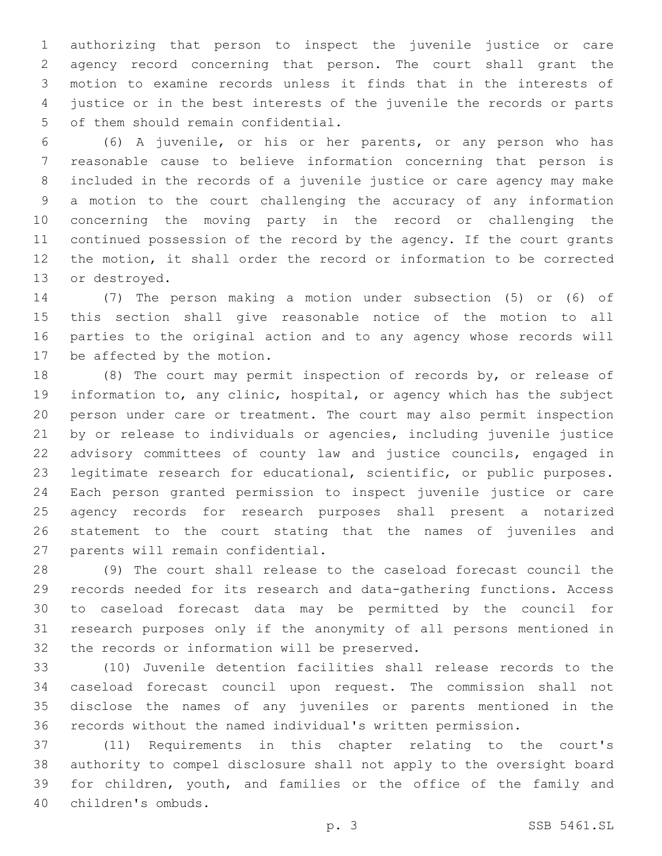authorizing that person to inspect the juvenile justice or care agency record concerning that person. The court shall grant the motion to examine records unless it finds that in the interests of justice or in the best interests of the juvenile the records or parts 5 of them should remain confidential.

 (6) A juvenile, or his or her parents, or any person who has reasonable cause to believe information concerning that person is included in the records of a juvenile justice or care agency may make a motion to the court challenging the accuracy of any information concerning the moving party in the record or challenging the continued possession of the record by the agency. If the court grants the motion, it shall order the record or information to be corrected 13 or destroyed.

 (7) The person making a motion under subsection (5) or (6) of this section shall give reasonable notice of the motion to all parties to the original action and to any agency whose records will 17 be affected by the motion.

 (8) The court may permit inspection of records by, or release of information to, any clinic, hospital, or agency which has the subject person under care or treatment. The court may also permit inspection by or release to individuals or agencies, including juvenile justice advisory committees of county law and justice councils, engaged in legitimate research for educational, scientific, or public purposes. Each person granted permission to inspect juvenile justice or care agency records for research purposes shall present a notarized statement to the court stating that the names of juveniles and 27 parents will remain confidential.

 (9) The court shall release to the caseload forecast council the records needed for its research and data-gathering functions. Access to caseload forecast data may be permitted by the council for research purposes only if the anonymity of all persons mentioned in 32 the records or information will be preserved.

 (10) Juvenile detention facilities shall release records to the caseload forecast council upon request. The commission shall not disclose the names of any juveniles or parents mentioned in the records without the named individual's written permission.

 (11) Requirements in this chapter relating to the court's authority to compel disclosure shall not apply to the oversight board for children, youth, and families or the office of the family and children's ombuds.40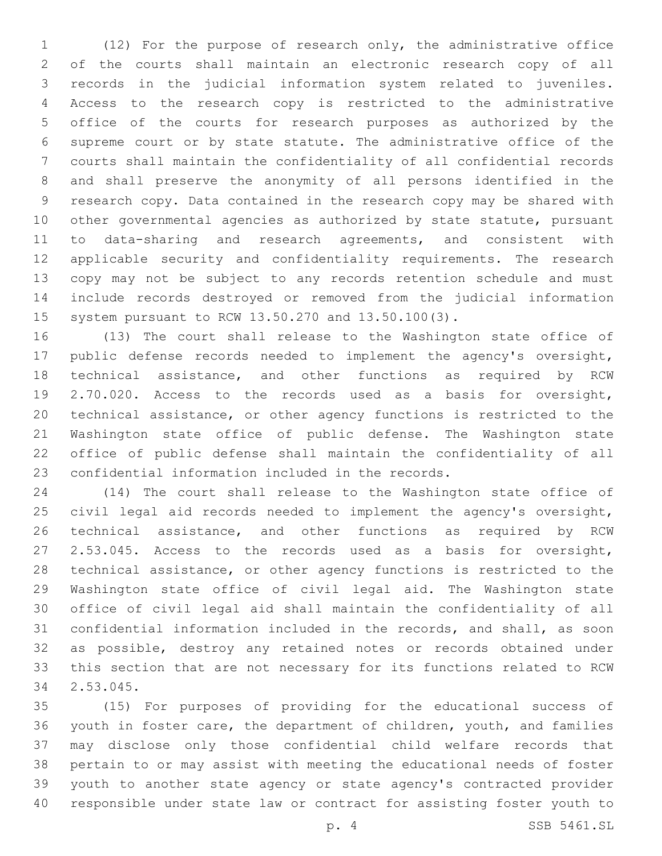(12) For the purpose of research only, the administrative office of the courts shall maintain an electronic research copy of all records in the judicial information system related to juveniles. Access to the research copy is restricted to the administrative office of the courts for research purposes as authorized by the supreme court or by state statute. The administrative office of the courts shall maintain the confidentiality of all confidential records and shall preserve the anonymity of all persons identified in the research copy. Data contained in the research copy may be shared with 10 other governmental agencies as authorized by state statute, pursuant to data-sharing and research agreements, and consistent with applicable security and confidentiality requirements. The research copy may not be subject to any records retention schedule and must include records destroyed or removed from the judicial information system pursuant to RCW 13.50.270 and 13.50.100(3).

 (13) The court shall release to the Washington state office of public defense records needed to implement the agency's oversight, technical assistance, and other functions as required by RCW 2.70.020. Access to the records used as a basis for oversight, technical assistance, or other agency functions is restricted to the Washington state office of public defense. The Washington state office of public defense shall maintain the confidentiality of all 23 confidential information included in the records.

 (14) The court shall release to the Washington state office of civil legal aid records needed to implement the agency's oversight, technical assistance, and other functions as required by RCW 2.53.045. Access to the records used as a basis for oversight, technical assistance, or other agency functions is restricted to the Washington state office of civil legal aid. The Washington state office of civil legal aid shall maintain the confidentiality of all confidential information included in the records, and shall, as soon as possible, destroy any retained notes or records obtained under this section that are not necessary for its functions related to RCW 2.53.045.34

 (15) For purposes of providing for the educational success of youth in foster care, the department of children, youth, and families may disclose only those confidential child welfare records that pertain to or may assist with meeting the educational needs of foster youth to another state agency or state agency's contracted provider responsible under state law or contract for assisting foster youth to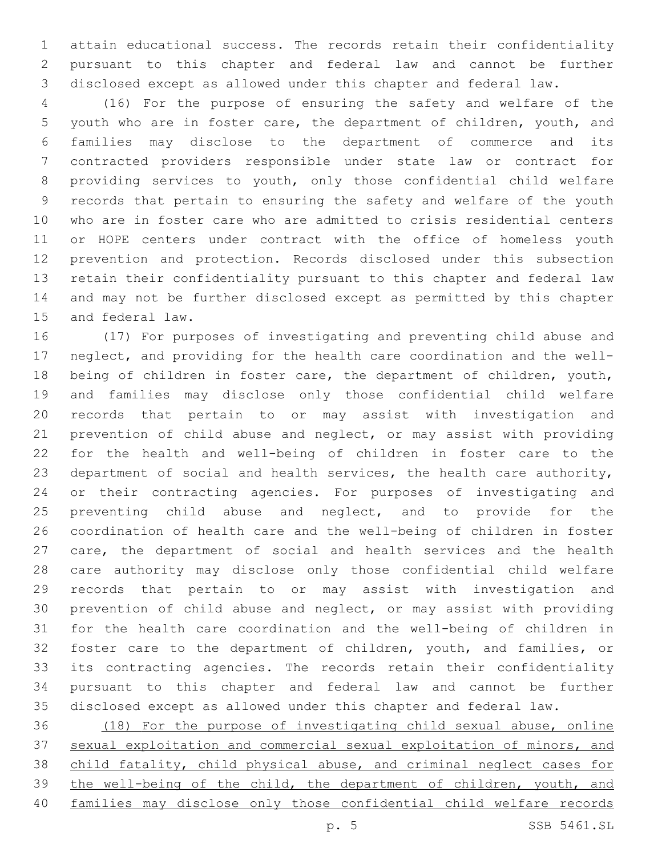attain educational success. The records retain their confidentiality pursuant to this chapter and federal law and cannot be further disclosed except as allowed under this chapter and federal law.

 (16) For the purpose of ensuring the safety and welfare of the youth who are in foster care, the department of children, youth, and families may disclose to the department of commerce and its contracted providers responsible under state law or contract for providing services to youth, only those confidential child welfare records that pertain to ensuring the safety and welfare of the youth who are in foster care who are admitted to crisis residential centers or HOPE centers under contract with the office of homeless youth prevention and protection. Records disclosed under this subsection retain their confidentiality pursuant to this chapter and federal law and may not be further disclosed except as permitted by this chapter 15 and federal law.

 (17) For purposes of investigating and preventing child abuse and neglect, and providing for the health care coordination and the well- being of children in foster care, the department of children, youth, and families may disclose only those confidential child welfare records that pertain to or may assist with investigation and prevention of child abuse and neglect, or may assist with providing for the health and well-being of children in foster care to the department of social and health services, the health care authority, or their contracting agencies. For purposes of investigating and 25 preventing child abuse and neglect, and to provide for the coordination of health care and the well-being of children in foster care, the department of social and health services and the health care authority may disclose only those confidential child welfare records that pertain to or may assist with investigation and prevention of child abuse and neglect, or may assist with providing for the health care coordination and the well-being of children in foster care to the department of children, youth, and families, or its contracting agencies. The records retain their confidentiality pursuant to this chapter and federal law and cannot be further disclosed except as allowed under this chapter and federal law.

 (18) For the purpose of investigating child sexual abuse, online sexual exploitation and commercial sexual exploitation of minors, and child fatality, child physical abuse, and criminal neglect cases for the well-being of the child, the department of children, youth, and families may disclose only those confidential child welfare records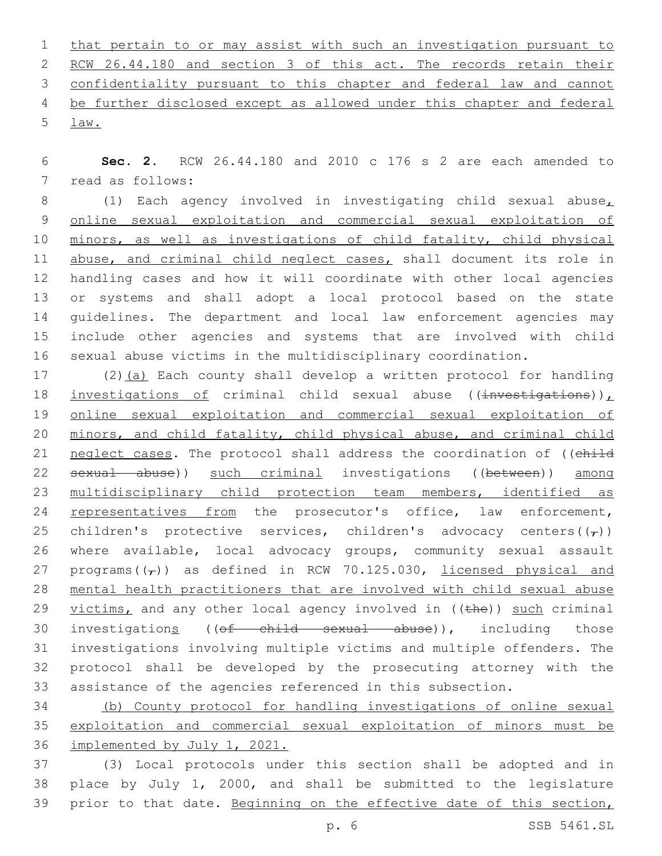that pertain to or may assist with such an investigation pursuant to RCW 26.44.180 and section 3 of this act. The records retain their confidentiality pursuant to this chapter and federal law and cannot be further disclosed except as allowed under this chapter and federal law.5

 **Sec. 2.** RCW 26.44.180 and 2010 c 176 s 2 are each amended to 7 read as follows:

 (1) Each agency involved in investigating child sexual abuse, online sexual exploitation and commercial sexual exploitation of minors, as well as investigations of child fatality, child physical 11 abuse, and criminal child neglect cases, shall document its role in handling cases and how it will coordinate with other local agencies or systems and shall adopt a local protocol based on the state guidelines. The department and local law enforcement agencies may include other agencies and systems that are involved with child sexual abuse victims in the multidisciplinary coordination.

17 (2)(a) Each county shall develop a written protocol for handling 18 investigations of criminal child sexual abuse ((investigations)), online sexual exploitation and commercial sexual exploitation of minors, and child fatality, child physical abuse, and criminal child 21 neglect cases. The protocol shall address the coordination of ((child sexual abuse)) such criminal investigations ((between)) among multidisciplinary child protection team members, identified as 24 representatives from the prosecutor's office, law enforcement, 25 children's protective services, children's advocacy centers( $(\tau)$ ) where available, local advocacy groups, community sexual assault 27 programs $((\tau))$  as defined in RCW 70.125.030, licensed physical and mental health practitioners that are involved with child sexual abuse 29 victims, and any other local agency involved in ((the)) such criminal 30 investigations ((of child sexual abuse)), including those investigations involving multiple victims and multiple offenders. The protocol shall be developed by the prosecuting attorney with the assistance of the agencies referenced in this subsection.

 (b) County protocol for handling investigations of online sexual exploitation and commercial sexual exploitation of minors must be implemented by July 1, 2021.

 (3) Local protocols under this section shall be adopted and in place by July 1, 2000, and shall be submitted to the legislature prior to that date. Beginning on the effective date of this section,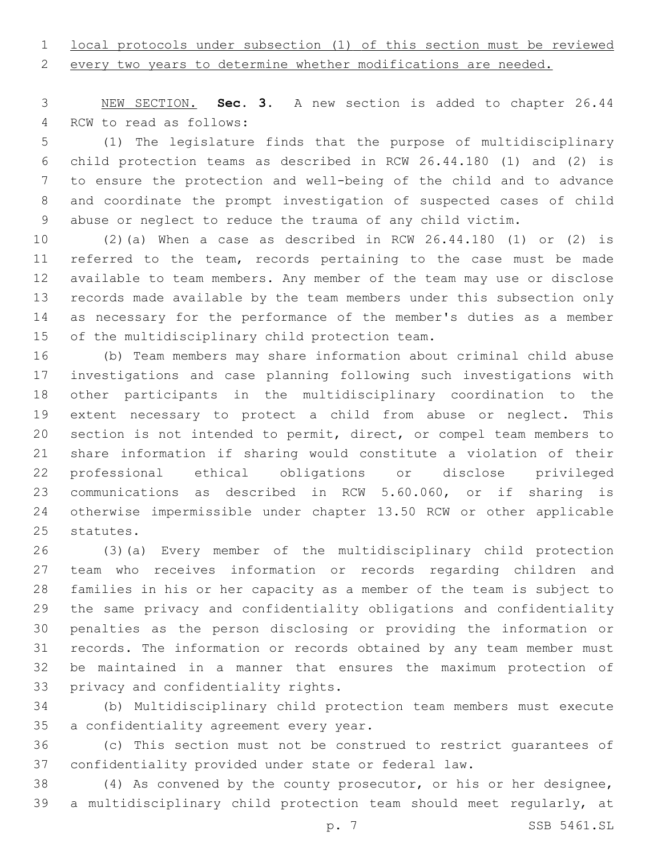# local protocols under subsection (1) of this section must be reviewed

every two years to determine whether modifications are needed.

 NEW SECTION. **Sec. 3.** A new section is added to chapter 26.44 4 RCW to read as follows:

 (1) The legislature finds that the purpose of multidisciplinary child protection teams as described in RCW 26.44.180 (1) and (2) is to ensure the protection and well-being of the child and to advance and coordinate the prompt investigation of suspected cases of child abuse or neglect to reduce the trauma of any child victim.

 (2)(a) When a case as described in RCW 26.44.180 (1) or (2) is referred to the team, records pertaining to the case must be made available to team members. Any member of the team may use or disclose records made available by the team members under this subsection only as necessary for the performance of the member's duties as a member 15 of the multidisciplinary child protection team.

 (b) Team members may share information about criminal child abuse investigations and case planning following such investigations with other participants in the multidisciplinary coordination to the extent necessary to protect a child from abuse or neglect. This section is not intended to permit, direct, or compel team members to share information if sharing would constitute a violation of their professional ethical obligations or disclose privileged communications as described in RCW 5.60.060, or if sharing is otherwise impermissible under chapter 13.50 RCW or other applicable 25 statutes.

 (3)(a) Every member of the multidisciplinary child protection team who receives information or records regarding children and families in his or her capacity as a member of the team is subject to the same privacy and confidentiality obligations and confidentiality penalties as the person disclosing or providing the information or records. The information or records obtained by any team member must be maintained in a manner that ensures the maximum protection of 33 privacy and confidentiality rights.

 (b) Multidisciplinary child protection team members must execute 35 a confidentiality agreement every year.

 (c) This section must not be construed to restrict guarantees of confidentiality provided under state or federal law.

 (4) As convened by the county prosecutor, or his or her designee, a multidisciplinary child protection team should meet regularly, at

p. 7 SSB 5461.SL